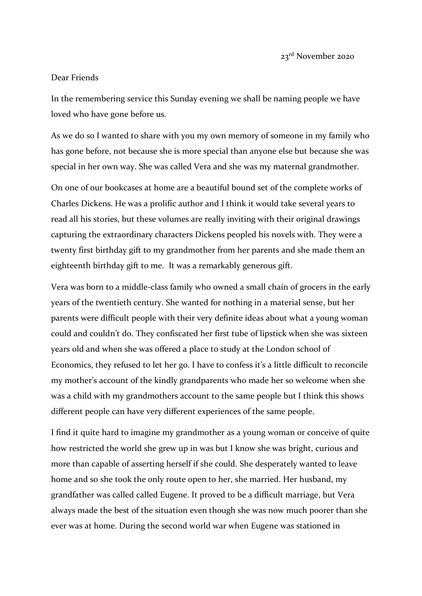23rd November 2020

## Dear Friends

In the remembering service this Sunday evening we shall be naming people we have loved who have gone before us.

As we do so I wanted to share with you my own memory of someone in my family who has gone before, not because she is more special than anyone else but because she was special in her own way. She was called Vera and she was my maternal grandmother.

On one of our bookcases at home are a beautiful bound set of the complete works of Charles Dickens. He was a prolific author and I think it would take several years to read all his stories, but these volumes are really inviting with their original drawings capturing the extraordinary characters Dickens peopled his novels with. They were a twenty first birthday gift to my grandmother from her parents and she made them an eighteenth birthday gift to me. It was a remarkably generous gift.

Vera was born to a middle-class family who owned a small chain of grocers in the early years of the twentieth century. She wanted for nothing in a material sense, but her parents were difficult people with their very definite ideas about what a young woman could and couldn't do. They confiscated her first tube of lipstick when she was sixteen years old and when she was offered a place to study at the London school of Economics, they refused to let her go. I have to confess it's a little difficult to reconcile my mother's account of the kindly grandparents who made her so welcome when she was a child with my grandmothers account to the same people but I think this shows different people can have very different experiences of the same people.

I find it quite hard to imagine my grandmother as a young woman or conceive of quite how restricted the world she grew up in was but I know she was bright, curious and more than capable of asserting herself if she could. She desperately wanted to leave home and so she took the only route open to her, she married. Her husband, my grandfather was called called Eugene. It proved to be a difficult marriage, but Vera always made the best of the situation even though she was now much poorer than she ever was at home. During the second world war when Eugene was stationed in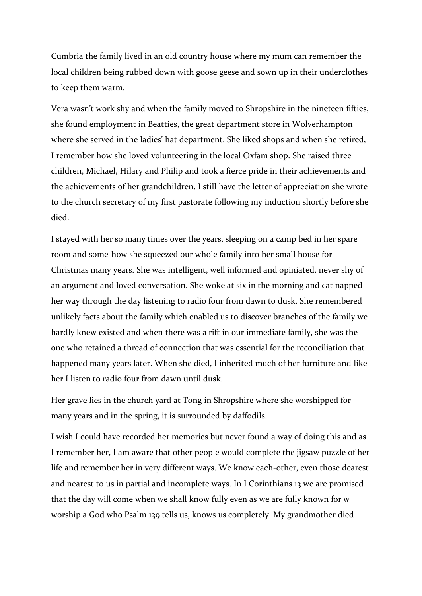Cumbria the family lived in an old country house where my mum can remember the local children being rubbed down with goose geese and sown up in their underclothes to keep them warm.

Vera wasn't work shy and when the family moved to Shropshire in the nineteen fifties, she found employment in Beatties, the great department store in Wolverhampton where she served in the ladies' hat department. She liked shops and when she retired, I remember how she loved volunteering in the local Oxfam shop. She raised three children, Michael, Hilary and Philip and took a fierce pride in their achievements and the achievements of her grandchildren. I still have the letter of appreciation she wrote to the church secretary of my first pastorate following my induction shortly before she died.

I stayed with her so many times over the years, sleeping on a camp bed in her spare room and some-how she squeezed our whole family into her small house for Christmas many years. She was intelligent, well informed and opiniated, never shy of an argument and loved conversation. She woke at six in the morning and cat napped her way through the day listening to radio four from dawn to dusk. She remembered unlikely facts about the family which enabled us to discover branches of the family we hardly knew existed and when there was a rift in our immediate family, she was the one who retained a thread of connection that was essential for the reconciliation that happened many years later. When she died, I inherited much of her furniture and like her I listen to radio four from dawn until dusk.

Her grave lies in the church yard at Tong in Shropshire where she worshipped for many years and in the spring, it is surrounded by daffodils.

I wish I could have recorded her memories but never found a way of doing this and as I remember her, I am aware that other people would complete the jigsaw puzzle of her life and remember her in very different ways. We know each-other, even those dearest and nearest to us in partial and incomplete ways. In I Corinthians 13 we are promised that the day will come when we shall know fully even as we are fully known for w worship a God who Psalm 139 tells us, knows us completely. My grandmother died